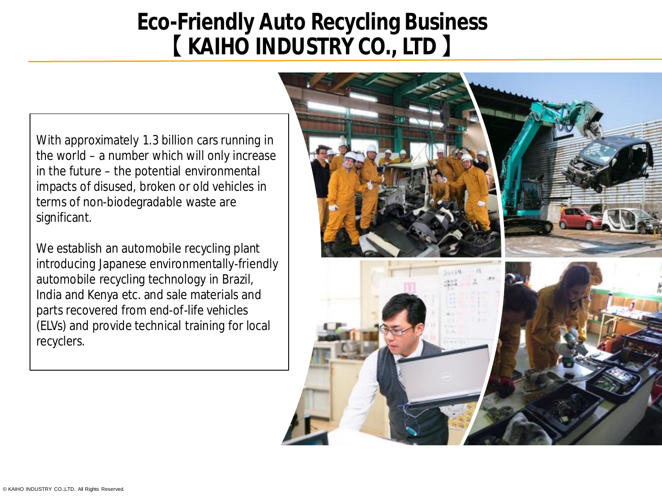## **Eco-Friendly Auto Recycling Business 【 KAIHO INDUSTRY CO., LTD 】**

With approximately 1.3 billion cars running in the world – a number which will only increase in the future – the potential environmental impacts of disused, broken or old vehicles in terms of non-biodegradable waste are significant.

We establish an automobile recycling plant introducing Japanese environmentally-friendly automobile recycling technology in Brazil, India and Kenya etc. and sale materials and parts recovered from end-of-life vehicles (ELVs) and provide technical training for local recyclers.

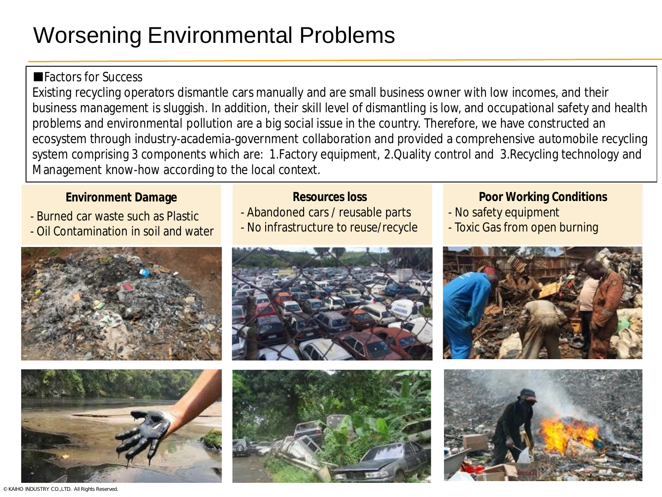# Worsening Environmental Problems

## ■Factors for Success

Existing recycling operators dismantle cars manually and are small business owner with low incomes, and their business management is sluggish. In addition, their skill level of dismantling is low, and occupational safety and health problems and environmental pollution are a big social issue in the country. Therefore, we have constructed an ecosystem through industry-academia-government collaboration and provided a comprehensive automobile recycling system comprising 3 components which are: 1.Factory equipment, 2.Quality control and 3.Recycling technology and Management know-how according to the local context.

- Burned car waste such as Plastic
- Oil Contamination in soil and water





- Abandoned cars / reusable parts
- No infrastructure to reuse/recycle





### **Environment Damage Conditions Resources loss Poor Working Conditions**

- No safety equipment
- Toxic Gas from open burning





© KAIHO INDUSTRY CO.,LTD. All Rights Reserved.